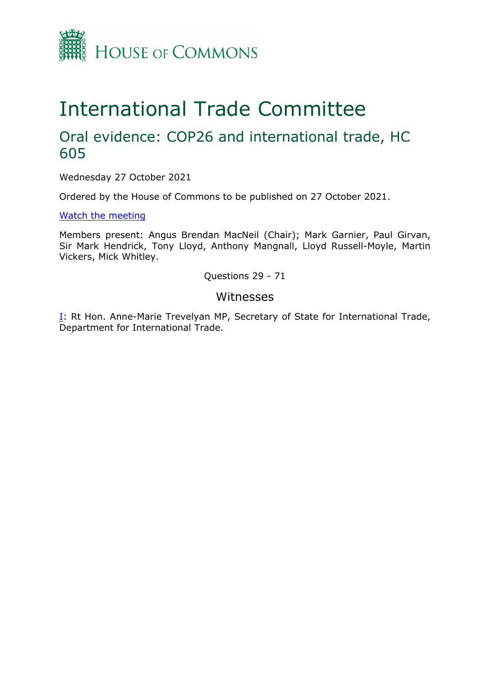

## International Trade Committee

## Oral evidence: COP26 and international trade, HC 605

Wednesday 27 October 2021

Ordered by the House of Commons to be published on 27 October 2021.

[Watch](https://parliamentlive.tv/event/index/b8b79c23-4b2e-43cc-8a89-c3686fa1ad5f) [the](https://parliamentlive.tv/event/index/b8b79c23-4b2e-43cc-8a89-c3686fa1ad5f) [meeting](https://parliamentlive.tv/event/index/b8b79c23-4b2e-43cc-8a89-c3686fa1ad5f)

Members present: Angus Brendan MacNeil (Chair); Mark Garnier, Paul Girvan, Sir Mark Hendrick, Tony Lloyd, Anthony Mangnall, Lloyd Russell-Moyle, Martin Vickers, Mick Whitley.

Questions 29 - 71

## Witnesses

[I:](#page-1-0) Rt Hon. Anne-Marie Trevelyan MP, Secretary of State for International Trade, Department for International Trade.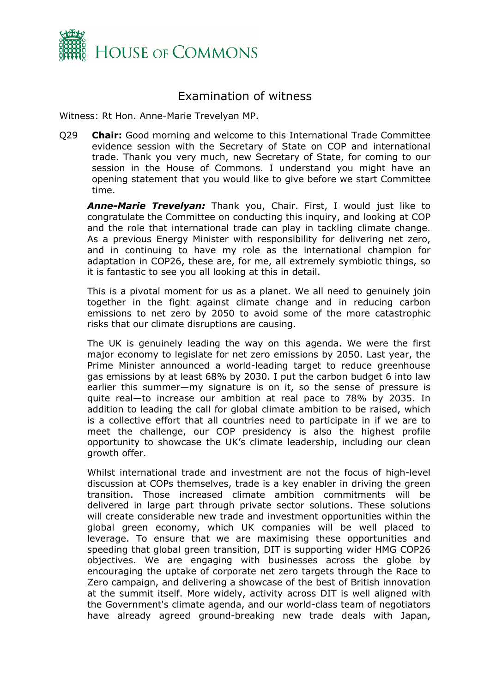

## <span id="page-1-0"></span>Examination of witness

Witness: Rt Hon. Anne-Marie Trevelyan MP.

Q29 **Chair:** Good morning and welcome to this International Trade Committee evidence session with the Secretary of State on COP and international trade. Thank you very much, new Secretary of State, for coming to our session in the House of Commons. I understand you might have an opening statement that you would like to give before we start Committee time.

*Anne-Marie Trevelyan:* Thank you, Chair. First, I would just like to congratulate the Committee on conducting this inquiry, and looking at COP and the role that international trade can play in tackling climate change. As a previous Energy Minister with responsibility for delivering net zero, and in continuing to have my role as the international champion for adaptation in COP26, these are, for me, all extremely symbiotic things, so it is fantastic to see you all looking at this in detail.

This is a pivotal moment for us as a planet. We all need to genuinely join together in the fight against climate change and in reducing carbon emissions to net zero by 2050 to avoid some of the more catastrophic risks that our climate disruptions are causing.

The UK is genuinely leading the way on this agenda. We were the first major economy to legislate for net zero emissions by 2050. Last year, the Prime Minister announced a world-leading target to reduce greenhouse gas emissions by at least 68% by 2030. I put the carbon budget 6 into law earlier this summer—my signature is on it, so the sense of pressure is quite real—to increase our ambition at real pace to 78% by 2035. In addition to leading the call for global climate ambition to be raised, which is a collective effort that all countries need to participate in if we are to meet the challenge, our COP presidency is also the highest profile opportunity to showcase the UK's climate leadership, including our clean growth offer.

Whilst international trade and investment are not the focus of high-level discussion at COPs themselves, trade is a key enabler in driving the green transition. Those increased climate ambition commitments will be delivered in large part through private sector solutions. These solutions will create considerable new trade and investment opportunities within the global green economy, which UK companies will be well placed to leverage. To ensure that we are maximising these opportunities and speeding that global green transition, DIT is supporting wider HMG COP26 objectives. We are engaging with businesses across the globe by encouraging the uptake of corporate net zero targets through the Race to Zero campaign, and delivering a showcase of the best of British innovation at the summit itself. More widely, activity across DIT is well aligned with the Government's climate agenda, and our world-class team of negotiators have already agreed ground-breaking new trade deals with Japan,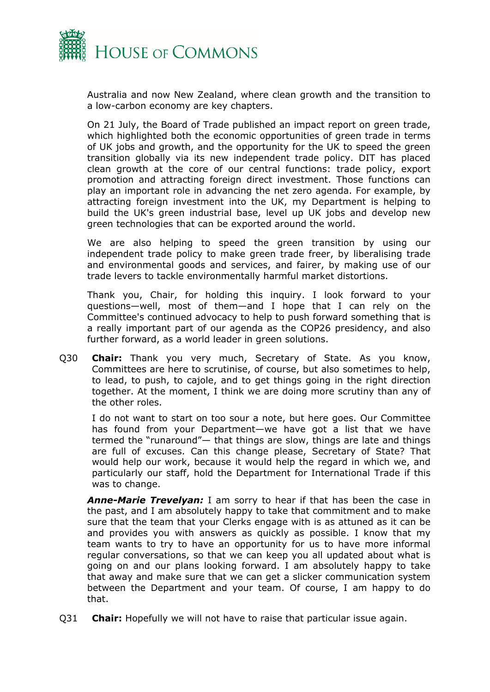

Australia and now New Zealand, where clean growth and the transition to a low-carbon economy are key chapters.

On 21 July, the Board of Trade published an impact report on green trade, which highlighted both the economic opportunities of green trade in terms of UK jobs and growth, and the opportunity for the UK to speed the green transition globally via its new independent trade policy. DIT has placed clean growth at the core of our central functions: trade policy, export promotion and attracting foreign direct investment. Those functions can play an important role in advancing the net zero agenda. For example, by attracting foreign investment into the UK, my Department is helping to build the UK's green industrial base, level up UK jobs and develop new green technologies that can be exported around the world.

We are also helping to speed the green transition by using our independent trade policy to make green trade freer, by liberalising trade and environmental goods and services, and fairer, by making use of our trade levers to tackle environmentally harmful market distortions.

Thank you, Chair, for holding this inquiry. I look forward to your questions—well, most of them—and I hope that I can rely on the Committee's continued advocacy to help to push forward something that is a really important part of our agenda as the COP26 presidency, and also further forward, as a world leader in green solutions.

Q30 **Chair:** Thank you very much, Secretary of State. As you know, Committees are here to scrutinise, of course, but also sometimes to help, to lead, to push, to cajole, and to get things going in the right direction together. At the moment, I think we are doing more scrutiny than any of the other roles.

I do not want to start on too sour a note, but here goes. Our Committee has found from your Department—we have got a list that we have termed the "runaround"— that things are slow, things are late and things are full of excuses. Can this change please, Secretary of State? That would help our work, because it would help the regard in which we, and particularly our staff, hold the Department for International Trade if this was to change.

*Anne-Marie Trevelyan:* I am sorry to hear if that has been the case in the past, and I am absolutely happy to take that commitment and to make sure that the team that your Clerks engage with is as attuned as it can be and provides you with answers as quickly as possible. I know that my team wants to try to have an opportunity for us to have more informal regular conversations, so that we can keep you all updated about what is going on and our plans looking forward. I am absolutely happy to take that away and make sure that we can get a slicker communication system between the Department and your team. Of course, I am happy to do that.

Q31 **Chair:** Hopefully we will not have to raise that particular issue again.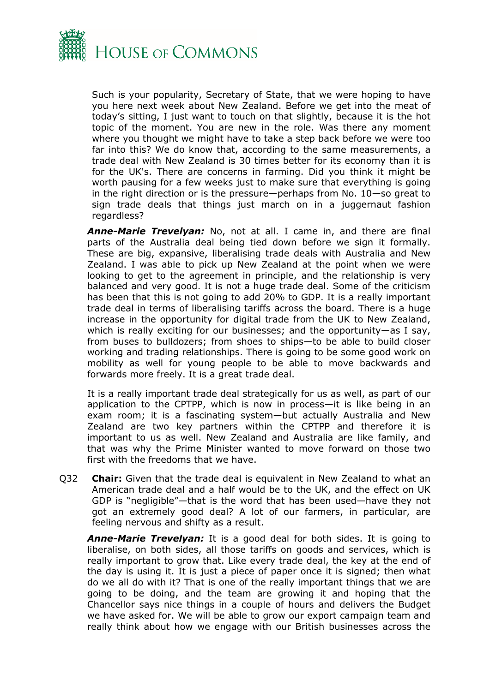

Such is your popularity, Secretary of State, that we were hoping to have you here next week about New Zealand. Before we get into the meat of today's sitting, I just want to touch on that slightly, because it is the hot topic of the moment. You are new in the role. Was there any moment where you thought we might have to take a step back before we were too far into this? We do know that, according to the same measurements, a trade deal with New Zealand is 30 times better for its economy than it is for the UK's. There are concerns in farming. Did you think it might be worth pausing for a few weeks just to make sure that everything is going in the right direction or is the pressure—perhaps from No. 10—so great to sign trade deals that things just march on in a juggernaut fashion regardless?

*Anne-Marie Trevelyan:* No, not at all. I came in, and there are final parts of the Australia deal being tied down before we sign it formally. These are big, expansive, liberalising trade deals with Australia and New Zealand. I was able to pick up New Zealand at the point when we were looking to get to the agreement in principle, and the relationship is very balanced and very good. It is not a huge trade deal. Some of the criticism has been that this is not going to add 20% to GDP. It is a really important trade deal in terms of liberalising tariffs across the board. There is a huge increase in the opportunity for digital trade from the UK to New Zealand, which is really exciting for our businesses; and the opportunity—as I say, from buses to bulldozers; from shoes to ships—to be able to build closer working and trading relationships. There is going to be some good work on mobility as well for young people to be able to move backwards and forwards more freely. It is a great trade deal.

It is a really important trade deal strategically for us as well, as part of our application to the CPTPP, which is now in process—it is like being in an exam room; it is a fascinating system—but actually Australia and New Zealand are two key partners within the CPTPP and therefore it is important to us as well. New Zealand and Australia are like family, and that was why the Prime Minister wanted to move forward on those two first with the freedoms that we have.

Q32 **Chair:** Given that the trade deal is equivalent in New Zealand to what an American trade deal and a half would be to the UK, and the effect on UK GDP is "negligible"—that is the word that has been used—have they not got an extremely good deal? A lot of our farmers, in particular, are feeling nervous and shifty as a result.

*Anne-Marie Trevelyan:* It is a good deal for both sides. It is going to liberalise, on both sides, all those tariffs on goods and services, which is really important to grow that. Like every trade deal, the key at the end of the day is using it. It is just a piece of paper once it is signed; then what do we all do with it? That is one of the really important things that we are going to be doing, and the team are growing it and hoping that the Chancellor says nice things in a couple of hours and delivers the Budget we have asked for. We will be able to grow our export campaign team and really think about how we engage with our British businesses across the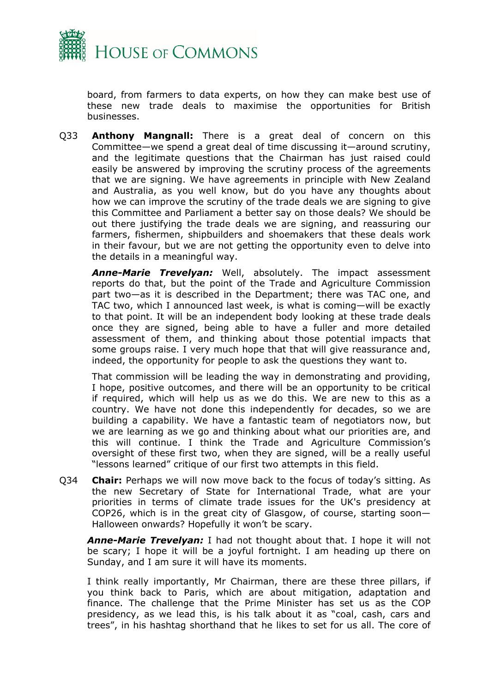

board, from farmers to data experts, on how they can make best use of these new trade deals to maximise the opportunities for British businesses.

Q33 **Anthony Mangnall:** There is a great deal of concern on this Committee—we spend a great deal of time discussing it—around scrutiny, and the legitimate questions that the Chairman has just raised could easily be answered by improving the scrutiny process of the agreements that we are signing. We have agreements in principle with New Zealand and Australia, as you well know, but do you have any thoughts about how we can improve the scrutiny of the trade deals we are signing to give this Committee and Parliament a better say on those deals? We should be out there justifying the trade deals we are signing, and reassuring our farmers, fishermen, shipbuilders and shoemakers that these deals work in their favour, but we are not getting the opportunity even to delve into the details in a meaningful way.

*Anne-Marie Trevelyan:* Well, absolutely. The impact assessment reports do that, but the point of the Trade and Agriculture Commission part two—as it is described in the Department; there was TAC one, and TAC two, which I announced last week, is what is coming—will be exactly to that point. It will be an independent body looking at these trade deals once they are signed, being able to have a fuller and more detailed assessment of them, and thinking about those potential impacts that some groups raise. I very much hope that that will give reassurance and, indeed, the opportunity for people to ask the questions they want to.

That commission will be leading the way in demonstrating and providing, I hope, positive outcomes, and there will be an opportunity to be critical if required, which will help us as we do this. We are new to this as a country. We have not done this independently for decades, so we are building a capability. We have a fantastic team of negotiators now, but we are learning as we go and thinking about what our priorities are, and this will continue. I think the Trade and Agriculture Commission's oversight of these first two, when they are signed, will be a really useful "lessons learned" critique of our first two attempts in this field.

Q34 **Chair:** Perhaps we will now move back to the focus of today's sitting. As the new Secretary of State for International Trade, what are your priorities in terms of climate trade issues for the UK's presidency at COP26, which is in the great city of Glasgow, of course, starting soon— Halloween onwards? Hopefully it won't be scary.

*Anne-Marie Trevelyan:* I had not thought about that. I hope it will not be scary; I hope it will be a joyful fortnight. I am heading up there on Sunday, and I am sure it will have its moments.

I think really importantly, Mr Chairman, there are these three pillars, if you think back to Paris, which are about mitigation, adaptation and finance. The challenge that the Prime Minister has set us as the COP presidency, as we lead this, is his talk about it as "coal, cash, cars and trees", in his hashtag shorthand that he likes to set for us all. The core of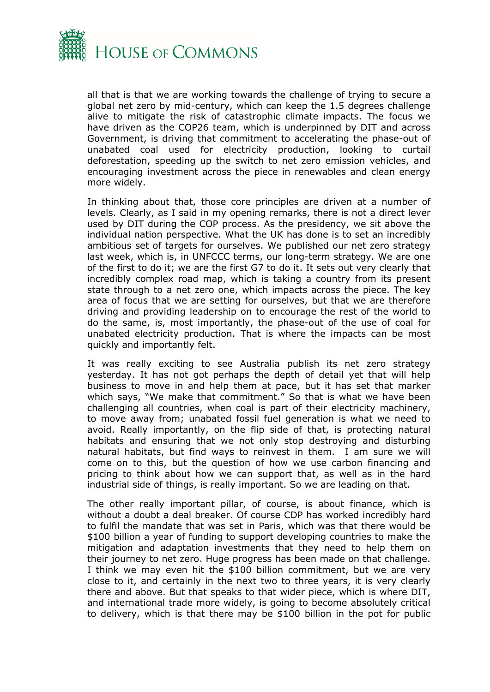

all that is that we are working towards the challenge of trying to secure a global net zero by mid-century, which can keep the 1.5 degrees challenge alive to mitigate the risk of catastrophic climate impacts. The focus we have driven as the COP26 team, which is underpinned by DIT and across Government, is driving that commitment to accelerating the phase-out of unabated coal used for electricity production, looking to curtail deforestation, speeding up the switch to net zero emission vehicles, and encouraging investment across the piece in renewables and clean energy more widely.

In thinking about that, those core principles are driven at a number of levels. Clearly, as I said in my opening remarks, there is not a direct lever used by DIT during the COP process. As the presidency, we sit above the individual nation perspective. What the UK has done is to set an incredibly ambitious set of targets for ourselves. We published our net zero strategy last week, which is, in UNFCCC terms, our long-term strategy. We are one of the first to do it; we are the first G7 to do it. It sets out very clearly that incredibly complex road map, which is taking a country from its present state through to a net zero one, which impacts across the piece. The key area of focus that we are setting for ourselves, but that we are therefore driving and providing leadership on to encourage the rest of the world to do the same, is, most importantly, the phase-out of the use of coal for unabated electricity production. That is where the impacts can be most quickly and importantly felt.

It was really exciting to see Australia publish its net zero strategy yesterday. It has not got perhaps the depth of detail yet that will help business to move in and help them at pace, but it has set that marker which says, "We make that commitment." So that is what we have been challenging all countries, when coal is part of their electricity machinery, to move away from; unabated fossil fuel generation is what we need to avoid. Really importantly, on the flip side of that, is protecting natural habitats and ensuring that we not only stop destroying and disturbing natural habitats, but find ways to reinvest in them. I am sure we will come on to this, but the question of how we use carbon financing and pricing to think about how we can support that, as well as in the hard industrial side of things, is really important. So we are leading on that.

The other really important pillar, of course, is about finance, which is without a doubt a deal breaker. Of course CDP has worked incredibly hard to fulfil the mandate that was set in Paris, which was that there would be \$100 billion a year of funding to support developing countries to make the mitigation and adaptation investments that they need to help them on their journey to net zero. Huge progress has been made on that challenge. I think we may even hit the \$100 billion commitment, but we are very close to it, and certainly in the next two to three years, it is very clearly there and above. But that speaks to that wider piece, which is where DIT, and international trade more widely, is going to become absolutely critical to delivery, which is that there may be \$100 billion in the pot for public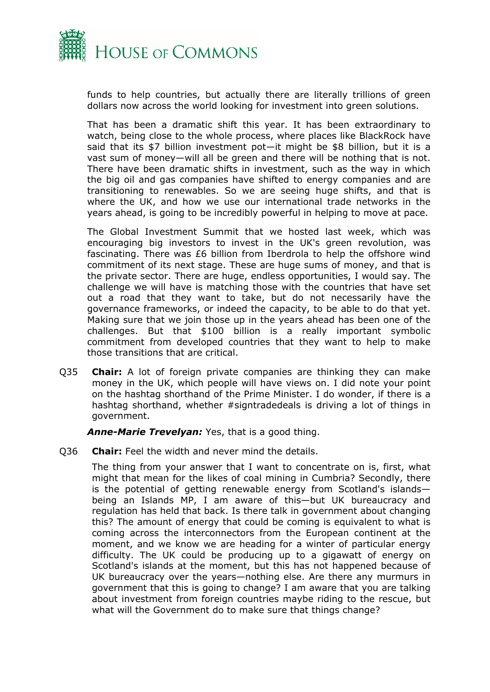

funds to help countries, but actually there are literally trillions of green dollars now across the world looking for investment into green solutions.

That has been a dramatic shift this year. It has been extraordinary to watch, being close to the whole process, where places like BlackRock have said that its \$7 billion investment pot—it might be \$8 billion, but it is a vast sum of money—will all be green and there will be nothing that is not. There have been dramatic shifts in investment, such as the way in which the big oil and gas companies have shifted to energy companies and are transitioning to renewables. So we are seeing huge shifts, and that is where the UK, and how we use our international trade networks in the years ahead, is going to be incredibly powerful in helping to move at pace.

The Global Investment Summit that we hosted last week, which was encouraging big investors to invest in the UK's green revolution, was fascinating. There was £6 billion from Iberdrola to help the offshore wind commitment of its next stage. These are huge sums of money, and that is the private sector. There are huge, endless opportunities, I would say. The challenge we will have is matching those with the countries that have set out a road that they want to take, but do not necessarily have the governance frameworks, or indeed the capacity, to be able to do that yet. Making sure that we join those up in the years ahead has been one of the challenges. But that \$100 billion is a really important symbolic commitment from developed countries that they want to help to make those transitions that are critical.

Q35 **Chair:** A lot of foreign private companies are thinking they can make money in the UK, which people will have views on. I did note your point on the hashtag shorthand of the Prime Minister. I do wonder, if there is a hashtag shorthand, whether #signtradedeals is driving a lot of things in government.

*Anne-Marie Trevelyan:* Yes, that is a good thing.

Q36 **Chair:** Feel the width and never mind the details.

The thing from your answer that I want to concentrate on is, first, what might that mean for the likes of coal mining in Cumbria? Secondly, there is the potential of getting renewable energy from Scotland's islands being an Islands MP, I am aware of this—but UK bureaucracy and regulation has held that back. Is there talk in government about changing this? The amount of energy that could be coming is equivalent to what is coming across the interconnectors from the European continent at the moment, and we know we are heading for a winter of particular energy difficulty. The UK could be producing up to a gigawatt of energy on Scotland's islands at the moment, but this has not happened because of UK bureaucracy over the years—nothing else. Are there any murmurs in government that this is going to change? I am aware that you are talking about investment from foreign countries maybe riding to the rescue, but what will the Government do to make sure that things change?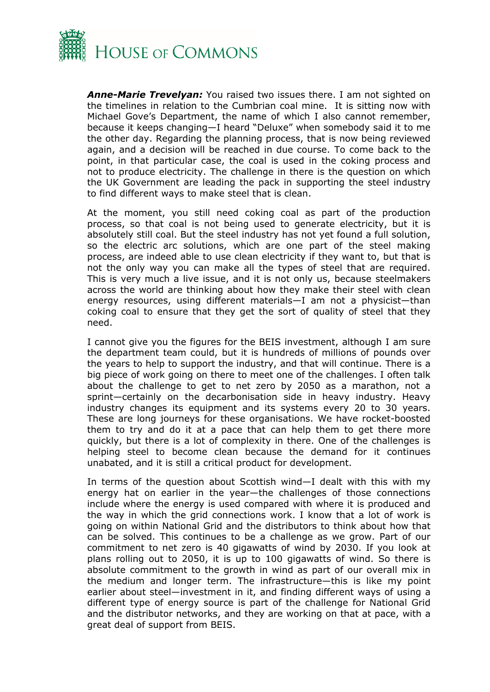

*Anne-Marie Trevelyan:* You raised two issues there. I am not sighted on the timelines in relation to the Cumbrian coal mine. It is sitting now with Michael Gove's Department, the name of which I also cannot remember, because it keeps changing—I heard "Deluxe" when somebody said it to me the other day. Regarding the planning process, that is now being reviewed again, and a decision will be reached in due course. To come back to the point, in that particular case, the coal is used in the coking process and not to produce electricity. The challenge in there is the question on which the UK Government are leading the pack in supporting the steel industry to find different ways to make steel that is clean.

At the moment, you still need coking coal as part of the production process, so that coal is not being used to generate electricity, but it is absolutely still coal. But the steel industry has not yet found a full solution, so the electric arc solutions, which are one part of the steel making process, are indeed able to use clean electricity if they want to, but that is not the only way you can make all the types of steel that are required. This is very much a live issue, and it is not only us, because steelmakers across the world are thinking about how they make their steel with clean energy resources, using different materials—I am not a physicist—than coking coal to ensure that they get the sort of quality of steel that they need.

I cannot give you the figures for the BEIS investment, although I am sure the department team could, but it is hundreds of millions of pounds over the years to help to support the industry, and that will continue. There is a big piece of work going on there to meet one of the challenges. I often talk about the challenge to get to net zero by 2050 as a marathon, not a sprint—certainly on the decarbonisation side in heavy industry. Heavy industry changes its equipment and its systems every 20 to 30 years. These are long journeys for these organisations. We have rocket-boosted them to try and do it at a pace that can help them to get there more quickly, but there is a lot of complexity in there. One of the challenges is helping steel to become clean because the demand for it continues unabated, and it is still a critical product for development.

In terms of the question about Scottish wind—I dealt with this with my energy hat on earlier in the year—the challenges of those connections include where the energy is used compared with where it is produced and the way in which the grid connections work. I know that a lot of work is going on within National Grid and the distributors to think about how that can be solved. This continues to be a challenge as we grow. Part of our commitment to net zero is 40 gigawatts of wind by 2030. If you look at plans rolling out to 2050, it is up to 100 gigawatts of wind. So there is absolute commitment to the growth in wind as part of our overall mix in the medium and longer term. The infrastructure—this is like my point earlier about steel—investment in it, and finding different ways of using a different type of energy source is part of the challenge for National Grid and the distributor networks, and they are working on that at pace, with a great deal of support from BEIS.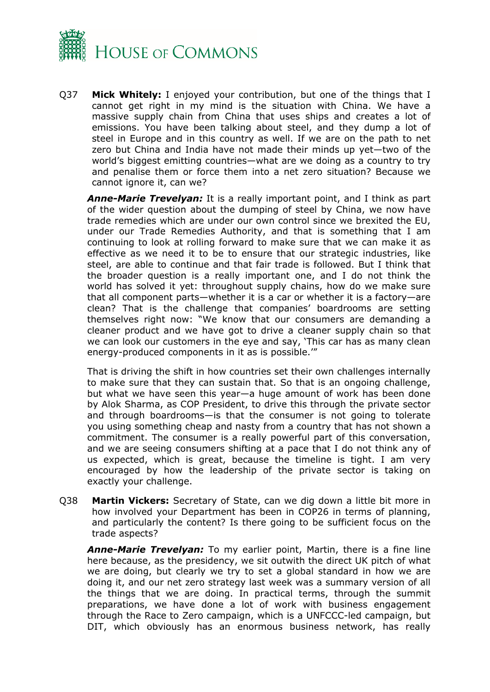

Q37 **Mick Whitely:** I enjoyed your contribution, but one of the things that I cannot get right in my mind is the situation with China. We have a massive supply chain from China that uses ships and creates a lot of emissions. You have been talking about steel, and they dump a lot of steel in Europe and in this country as well. If we are on the path to net zero but China and India have not made their minds up yet—two of the world's biggest emitting countries—what are we doing as a country to try and penalise them or force them into a net zero situation? Because we cannot ignore it, can we?

*Anne-Marie Trevelyan:* It is a really important point, and I think as part of the wider question about the dumping of steel by China, we now have trade remedies which are under our own control since we brexited the EU, under our Trade Remedies Authority, and that is something that I am continuing to look at rolling forward to make sure that we can make it as effective as we need it to be to ensure that our strategic industries, like steel, are able to continue and that fair trade is followed. But I think that the broader question is a really important one, and I do not think the world has solved it yet: throughout supply chains, how do we make sure that all component parts—whether it is a car or whether it is a factory—are clean? That is the challenge that companies' boardrooms are setting themselves right now: "We know that our consumers are demanding a cleaner product and we have got to drive a cleaner supply chain so that we can look our customers in the eye and say, 'This car has as many clean energy-produced components in it as is possible.'"

That is driving the shift in how countries set their own challenges internally to make sure that they can sustain that. So that is an ongoing challenge, but what we have seen this year—a huge amount of work has been done by Alok Sharma, as COP President, to drive this through the private sector and through boardrooms—is that the consumer is not going to tolerate you using something cheap and nasty from a country that has not shown a commitment. The consumer is a really powerful part of this conversation, and we are seeing consumers shifting at a pace that I do not think any of us expected, which is great, because the timeline is tight. I am very encouraged by how the leadership of the private sector is taking on exactly your challenge.

Q38 **Martin Vickers:** Secretary of State, can we dig down a little bit more in how involved your Department has been in COP26 in terms of planning, and particularly the content? Is there going to be sufficient focus on the trade aspects?

*Anne-Marie Trevelyan:* To my earlier point, Martin, there is a fine line here because, as the presidency, we sit outwith the direct UK pitch of what we are doing, but clearly we try to set a global standard in how we are doing it, and our net zero strategy last week was a summary version of all the things that we are doing. In practical terms, through the summit preparations, we have done a lot of work with business engagement through the Race to Zero campaign, which is a UNFCCC-led campaign, but DIT, which obviously has an enormous business network, has really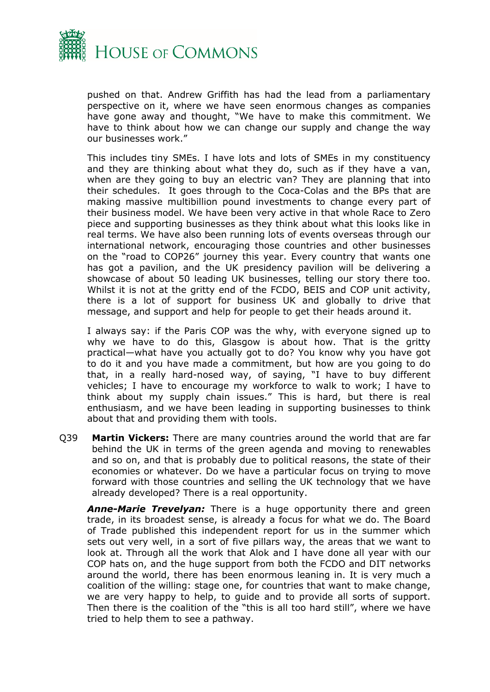

pushed on that. Andrew Griffith has had the lead from a parliamentary perspective on it, where we have seen enormous changes as companies have gone away and thought, "We have to make this commitment. We have to think about how we can change our supply and change the way our businesses work."

This includes tiny SMEs. I have lots and lots of SMEs in my constituency and they are thinking about what they do, such as if they have a van, when are they going to buy an electric van? They are planning that into their schedules. It goes through to the Coca-Colas and the BPs that are making massive multibillion pound investments to change every part of their business model. We have been very active in that whole Race to Zero piece and supporting businesses as they think about what this looks like in real terms. We have also been running lots of events overseas through our international network, encouraging those countries and other businesses on the "road to COP26" journey this year. Every country that wants one has got a pavilion, and the UK presidency pavilion will be delivering a showcase of about 50 leading UK businesses, telling our story there too. Whilst it is not at the gritty end of the FCDO, BEIS and COP unit activity, there is a lot of support for business UK and globally to drive that message, and support and help for people to get their heads around it.

I always say: if the Paris COP was the why, with everyone signed up to why we have to do this, Glasgow is about how. That is the gritty practical—what have you actually got to do? You know why you have got to do it and you have made a commitment, but how are you going to do that, in a really hard-nosed way, of saying, "I have to buy different vehicles; I have to encourage my workforce to walk to work; I have to think about my supply chain issues." This is hard, but there is real enthusiasm, and we have been leading in supporting businesses to think about that and providing them with tools.

Q39 **Martin Vickers:** There are many countries around the world that are far behind the UK in terms of the green agenda and moving to renewables and so on, and that is probably due to political reasons, the state of their economies or whatever. Do we have a particular focus on trying to move forward with those countries and selling the UK technology that we have already developed? There is a real opportunity.

*Anne-Marie Trevelyan:* There is a huge opportunity there and green trade, in its broadest sense, is already a focus for what we do. The Board of Trade published this independent report for us in the summer which sets out very well, in a sort of five pillars way, the areas that we want to look at. Through all the work that Alok and I have done all year with our COP hats on, and the huge support from both the FCDO and DIT networks around the world, there has been enormous leaning in. It is very much a coalition of the willing: stage one, for countries that want to make change, we are very happy to help, to guide and to provide all sorts of support. Then there is the coalition of the "this is all too hard still", where we have tried to help them to see a pathway.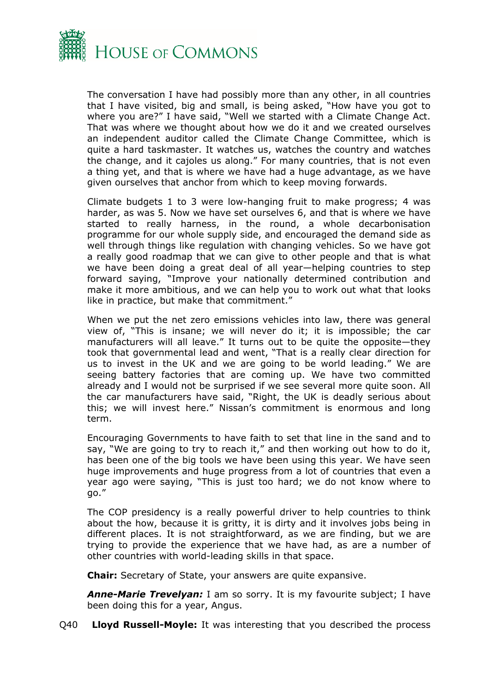

The conversation I have had possibly more than any other, in all countries that I have visited, big and small, is being asked, "How have you got to where you are?" I have said, "Well we started with a Climate Change Act. That was where we thought about how we do it and we created ourselves an independent auditor called the Climate Change Committee, which is quite a hard taskmaster. It watches us, watches the country and watches the change, and it cajoles us along." For many countries, that is not even a thing yet, and that is where we have had a huge advantage, as we have given ourselves that anchor from which to keep moving forwards.

Climate budgets 1 to 3 were low-hanging fruit to make progress; 4 was harder, as was 5. Now we have set ourselves 6, and that is where we have started to really harness, in the round, a whole decarbonisation programme for our whole supply side, and encouraged the demand side as well through things like regulation with changing vehicles. So we have got a really good roadmap that we can give to other people and that is what we have been doing a great deal of all year—helping countries to step forward saying, "Improve your nationally determined contribution and make it more ambitious, and we can help you to work out what that looks like in practice, but make that commitment."

When we put the net zero emissions vehicles into law, there was general view of, "This is insane; we will never do it; it is impossible; the car manufacturers will all leave." It turns out to be quite the opposite—they took that governmental lead and went, "That is a really clear direction for us to invest in the UK and we are going to be world leading." We are seeing battery factories that are coming up. We have two committed already and I would not be surprised if we see several more quite soon. All the car manufacturers have said, "Right, the UK is deadly serious about this; we will invest here." Nissan's commitment is enormous and long term.

Encouraging Governments to have faith to set that line in the sand and to say, "We are going to try to reach it," and then working out how to do it, has been one of the big tools we have been using this year. We have seen huge improvements and huge progress from a lot of countries that even a year ago were saying, "This is just too hard; we do not know where to go."

The COP presidency is a really powerful driver to help countries to think about the how, because it is gritty, it is dirty and it involves jobs being in different places. It is not straightforward, as we are finding, but we are trying to provide the experience that we have had, as are a number of other countries with world-leading skills in that space.

**Chair:** Secretary of State, your answers are quite expansive.

*Anne-Marie Trevelyan:* I am so sorry. It is my favourite subject; I have been doing this for a year, Angus.

Q40 **Lloyd Russell-Moyle:** It was interesting that you described the process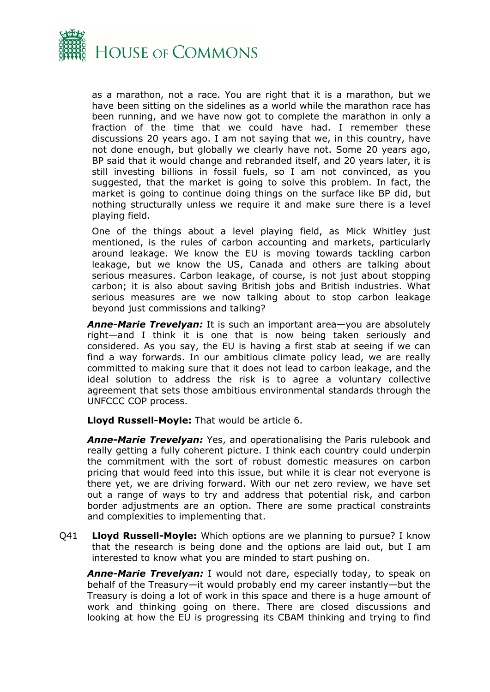

as a marathon, not a race. You are right that it is a marathon, but we have been sitting on the sidelines as a world while the marathon race has been running, and we have now got to complete the marathon in only a fraction of the time that we could have had. I remember these discussions 20 years ago. I am not saying that we, in this country, have not done enough, but globally we clearly have not. Some 20 years ago, BP said that it would change and rebranded itself, and 20 years later, it is still investing billions in fossil fuels, so I am not convinced, as you suggested, that the market is going to solve this problem. In fact, the market is going to continue doing things on the surface like BP did, but nothing structurally unless we require it and make sure there is a level playing field.

One of the things about a level playing field, as Mick Whitley just mentioned, is the rules of carbon accounting and markets, particularly around leakage. We know the EU is moving towards tackling carbon leakage, but we know the US, Canada and others are talking about serious measures. Carbon leakage, of course, is not just about stopping carbon; it is also about saving British jobs and British industries. What serious measures are we now talking about to stop carbon leakage beyond just commissions and talking?

*Anne-Marie Trevelyan:* It is such an important area—you are absolutely right—and I think it is one that is now being taken seriously and considered. As you say, the EU is having a first stab at seeing if we can find a way forwards. In our ambitious climate policy lead, we are really committed to making sure that it does not lead to carbon leakage, and the ideal solution to address the risk is to agree a voluntary collective agreement that sets those ambitious environmental standards through the UNFCCC COP process.

**Lloyd Russell-Moyle:** That would be article 6.

*Anne-Marie Trevelyan:* Yes, and operationalising the Paris rulebook and really getting a fully coherent picture. I think each country could underpin the commitment with the sort of robust domestic measures on carbon pricing that would feed into this issue, but while it is clear not everyone is there yet, we are driving forward. With our net zero review, we have set out a range of ways to try and address that potential risk, and carbon border adjustments are an option. There are some practical constraints and complexities to implementing that.

Q41 **Lloyd Russell-Moyle:** Which options are we planning to pursue? I know that the research is being done and the options are laid out, but I am interested to know what you are minded to start pushing on.

*Anne-Marie Trevelyan:* I would not dare, especially today, to speak on behalf of the Treasury—it would probably end my career instantly—but the Treasury is doing a lot of work in this space and there is a huge amount of work and thinking going on there. There are closed discussions and looking at how the EU is progressing its CBAM thinking and trying to find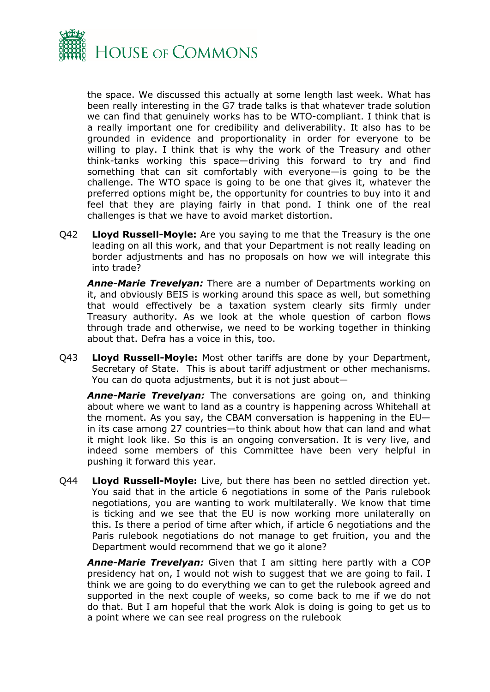

the space. We discussed this actually at some length last week. What has been really interesting in the G7 trade talks is that whatever trade solution we can find that genuinely works has to be WTO-compliant. I think that is a really important one for credibility and deliverability. It also has to be grounded in evidence and proportionality in order for everyone to be willing to play. I think that is why the work of the Treasury and other think-tanks working this space—driving this forward to try and find something that can sit comfortably with everyone—is going to be the challenge. The WTO space is going to be one that gives it, whatever the preferred options might be, the opportunity for countries to buy into it and feel that they are playing fairly in that pond. I think one of the real challenges is that we have to avoid market distortion.

Q42 **Lloyd Russell-Moyle:** Are you saying to me that the Treasury is the one leading on all this work, and that your Department is not really leading on border adjustments and has no proposals on how we will integrate this into trade?

*Anne-Marie Trevelyan:* There are a number of Departments working on it, and obviously BEIS is working around this space as well, but something that would effectively be a taxation system clearly sits firmly under Treasury authority. As we look at the whole question of carbon flows through trade and otherwise, we need to be working together in thinking about that. Defra has a voice in this, too.

Q43 **Lloyd Russell-Moyle:** Most other tariffs are done by your Department, Secretary of State. This is about tariff adjustment or other mechanisms. You can do quota adjustments, but it is not just about—

*Anne-Marie Trevelyan:* The conversations are going on, and thinking about where we want to land as a country is happening across Whitehall at the moment. As you say, the CBAM conversation is happening in the EU in its case among 27 countries—to think about how that can land and what it might look like. So this is an ongoing conversation. It is very live, and indeed some members of this Committee have been very helpful in pushing it forward this year.

Q44 **Lloyd Russell-Moyle:** Live, but there has been no settled direction yet. You said that in the article 6 negotiations in some of the Paris rulebook negotiations, you are wanting to work multilaterally. We know that time is ticking and we see that the EU is now working more unilaterally on this. Is there a period of time after which, if article 6 negotiations and the Paris rulebook negotiations do not manage to get fruition, you and the Department would recommend that we go it alone?

*Anne-Marie Trevelyan:* Given that I am sitting here partly with a COP presidency hat on, I would not wish to suggest that we are going to fail. I think we are going to do everything we can to get the rulebook agreed and supported in the next couple of weeks, so come back to me if we do not do that. But I am hopeful that the work Alok is doing is going to get us to a point where we can see real progress on the rulebook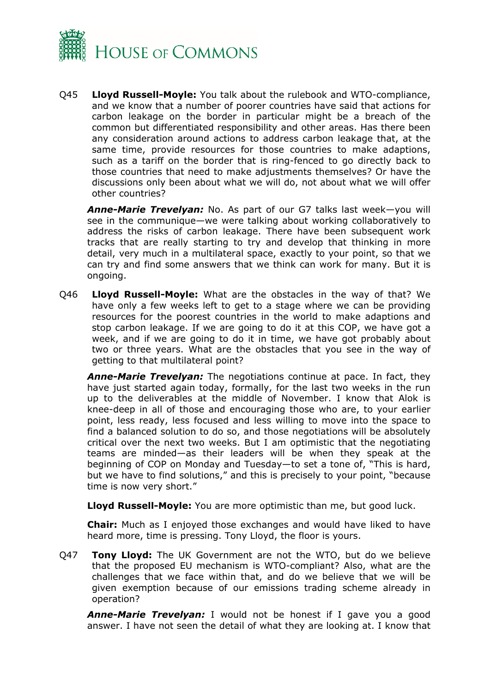

Q45 **Lloyd Russell-Moyle:** You talk about the rulebook and WTO-compliance, and we know that a number of poorer countries have said that actions for carbon leakage on the border in particular might be a breach of the common but differentiated responsibility and other areas. Has there been any consideration around actions to address carbon leakage that, at the same time, provide resources for those countries to make adaptions, such as a tariff on the border that is ring-fenced to go directly back to those countries that need to make adjustments themselves? Or have the discussions only been about what we will do, not about what we will offer other countries?

*Anne-Marie Trevelyan:* No. As part of our G7 talks last week—you will see in the communique—we were talking about working collaboratively to address the risks of carbon leakage. There have been subsequent work tracks that are really starting to try and develop that thinking in more detail, very much in a multilateral space, exactly to your point, so that we can try and find some answers that we think can work for many. But it is ongoing.

Q46 **Lloyd Russell-Moyle:** What are the obstacles in the way of that? We have only a few weeks left to get to a stage where we can be providing resources for the poorest countries in the world to make adaptions and stop carbon leakage. If we are going to do it at this COP, we have got a week, and if we are going to do it in time, we have got probably about two or three years. What are the obstacles that you see in the way of getting to that multilateral point?

*Anne-Marie Trevelyan:* The negotiations continue at pace. In fact, they have just started again today, formally, for the last two weeks in the run up to the deliverables at the middle of November. I know that Alok is knee-deep in all of those and encouraging those who are, to your earlier point, less ready, less focused and less willing to move into the space to find a balanced solution to do so, and those negotiations will be absolutely critical over the next two weeks. But I am optimistic that the negotiating teams are minded—as their leaders will be when they speak at the beginning of COP on Monday and Tuesday—to set a tone of, "This is hard, but we have to find solutions," and this is precisely to your point, "because time is now very short."

**Lloyd Russell-Moyle:** You are more optimistic than me, but good luck.

**Chair:** Much as I enjoyed those exchanges and would have liked to have heard more, time is pressing. Tony Lloyd, the floor is yours.

Q47 **Tony Lloyd:** The UK Government are not the WTO, but do we believe that the proposed EU mechanism is WTO-compliant? Also, what are the challenges that we face within that, and do we believe that we will be given exemption because of our emissions trading scheme already in operation?

*Anne-Marie Trevelyan:* I would not be honest if I gave you a good answer. I have not seen the detail of what they are looking at. I know that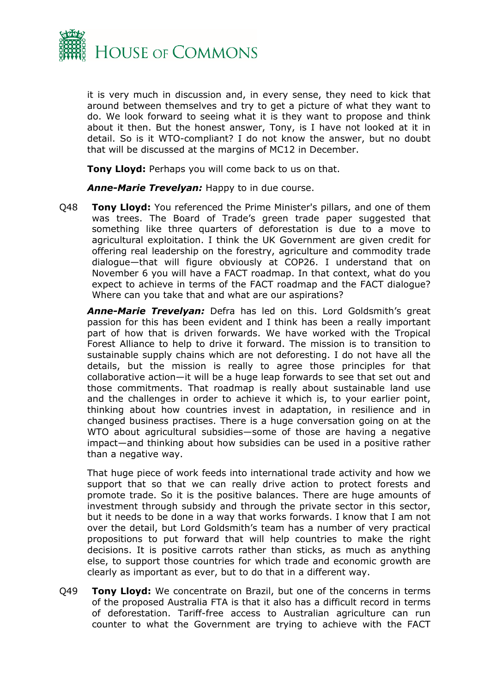

it is very much in discussion and, in every sense, they need to kick that around between themselves and try to get a picture of what they want to do. We look forward to seeing what it is they want to propose and think about it then. But the honest answer, Tony, is I have not looked at it in detail. So is it WTO-compliant? I do not know the answer, but no doubt that will be discussed at the margins of MC12 in December.

**Tony Lloyd:** Perhaps you will come back to us on that.

*Anne-Marie Trevelyan:* Happy to in due course.

Q48 **Tony Lloyd:** You referenced the Prime Minister's pillars, and one of them was trees. The Board of Trade's green trade paper suggested that something like three quarters of deforestation is due to a move to agricultural exploitation. I think the UK Government are given credit for offering real leadership on the forestry, agriculture and commodity trade dialogue—that will figure obviously at COP26. I understand that on November 6 you will have a FACT roadmap. In that context, what do you expect to achieve in terms of the FACT roadmap and the FACT dialogue? Where can you take that and what are our aspirations?

*Anne-Marie Trevelyan:* Defra has led on this. Lord Goldsmith's great passion for this has been evident and I think has been a really important part of how that is driven forwards. We have worked with the Tropical Forest Alliance to help to drive it forward. The mission is to transition to sustainable supply chains which are not deforesting. I do not have all the details, but the mission is really to agree those principles for that collaborative action—it will be a huge leap forwards to see that set out and those commitments. That roadmap is really about sustainable land use and the challenges in order to achieve it which is, to your earlier point, thinking about how countries invest in adaptation, in resilience and in changed business practises. There is a huge conversation going on at the WTO about agricultural subsidies—some of those are having a negative impact—and thinking about how subsidies can be used in a positive rather than a negative way.

That huge piece of work feeds into international trade activity and how we support that so that we can really drive action to protect forests and promote trade. So it is the positive balances. There are huge amounts of investment through subsidy and through the private sector in this sector, but it needs to be done in a way that works forwards. I know that I am not over the detail, but Lord Goldsmith's team has a number of very practical propositions to put forward that will help countries to make the right decisions. It is positive carrots rather than sticks, as much as anything else, to support those countries for which trade and economic growth are clearly as important as ever, but to do that in a different way.

Q49 **Tony Lloyd:** We concentrate on Brazil, but one of the concerns in terms of the proposed Australia FTA is that it also has a difficult record in terms of deforestation. Tariff-free access to Australian agriculture can run counter to what the Government are trying to achieve with the FACT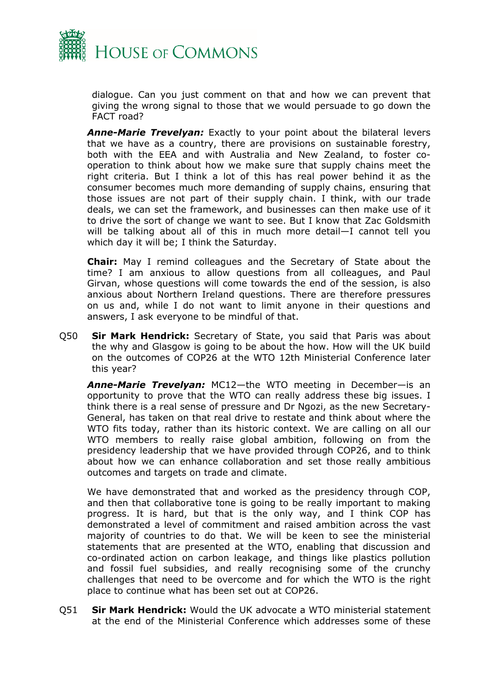

dialogue. Can you just comment on that and how we can prevent that giving the wrong signal to those that we would persuade to go down the FACT road?

*Anne-Marie Trevelyan:* Exactly to your point about the bilateral levers that we have as a country, there are provisions on sustainable forestry, both with the EEA and with Australia and New Zealand, to foster cooperation to think about how we make sure that supply chains meet the right criteria. But I think a lot of this has real power behind it as the consumer becomes much more demanding of supply chains, ensuring that those issues are not part of their supply chain. I think, with our trade deals, we can set the framework, and businesses can then make use of it to drive the sort of change we want to see. But I know that Zac Goldsmith will be talking about all of this in much more detail—I cannot tell you which day it will be; I think the Saturday.

**Chair:** May I remind colleagues and the Secretary of State about the time? I am anxious to allow questions from all colleagues, and Paul Girvan, whose questions will come towards the end of the session, is also anxious about Northern Ireland questions. There are therefore pressures on us and, while I do not want to limit anyone in their questions and answers, I ask everyone to be mindful of that.

Q50 **Sir Mark Hendrick:** Secretary of State, you said that Paris was about the why and Glasgow is going to be about the how. How will the UK build on the outcomes of COP26 at the WTO 12th Ministerial Conference later this year?

*Anne-Marie Trevelyan:* MC12—the WTO meeting in December—is an opportunity to prove that the WTO can really address these big issues. I think there is a real sense of pressure and Dr Ngozi, as the new Secretary-General, has taken on that real drive to restate and think about where the WTO fits today, rather than its historic context. We are calling on all our WTO members to really raise global ambition, following on from the presidency leadership that we have provided through COP26, and to think about how we can enhance collaboration and set those really ambitious outcomes and targets on trade and climate.

We have demonstrated that and worked as the presidency through COP, and then that collaborative tone is going to be really important to making progress. It is hard, but that is the only way, and I think COP has demonstrated a level of commitment and raised ambition across the vast majority of countries to do that. We will be keen to see the ministerial statements that are presented at the WTO, enabling that discussion and co-ordinated action on carbon leakage, and things like plastics pollution and fossil fuel subsidies, and really recognising some of the crunchy challenges that need to be overcome and for which the WTO is the right place to continue what has been set out at COP26.

Q51 **Sir Mark Hendrick:** Would the UK advocate a WTO ministerial statement at the end of the Ministerial Conference which addresses some of these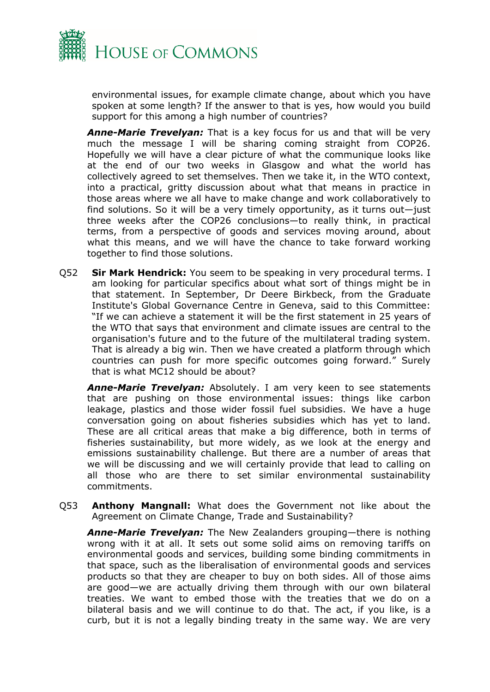

environmental issues, for example climate change, about which you have spoken at some length? If the answer to that is yes, how would you build support for this among a high number of countries?

*Anne-Marie Trevelyan:* That is a key focus for us and that will be very much the message I will be sharing coming straight from COP26. Hopefully we will have a clear picture of what the communique looks like at the end of our two weeks in Glasgow and what the world has collectively agreed to set themselves. Then we take it, in the WTO context, into a practical, gritty discussion about what that means in practice in those areas where we all have to make change and work collaboratively to find solutions. So it will be a very timely opportunity, as it turns out—just three weeks after the COP26 conclusions—to really think, in practical terms, from a perspective of goods and services moving around, about what this means, and we will have the chance to take forward working together to find those solutions.

Q52 **Sir Mark Hendrick:** You seem to be speaking in very procedural terms. I am looking for particular specifics about what sort of things might be in that statement. In September, Dr Deere Birkbeck, from the Graduate Institute's Global Governance Centre in Geneva, said to this Committee: "If we can achieve a statement it will be the first statement in 25 years of the WTO that says that environment and climate issues are central to the organisation's future and to the future of the multilateral trading system. That is already a big win. Then we have created a platform through which countries can push for more specific outcomes going forward." Surely that is what MC12 should be about?

*Anne-Marie Trevelyan:* Absolutely. I am very keen to see statements that are pushing on those environmental issues: things like carbon leakage, plastics and those wider fossil fuel subsidies. We have a huge conversation going on about fisheries subsidies which has yet to land. These are all critical areas that make a big difference, both in terms of fisheries sustainability, but more widely, as we look at the energy and emissions sustainability challenge. But there are a number of areas that we will be discussing and we will certainly provide that lead to calling on all those who are there to set similar environmental sustainability commitments.

Q53 **Anthony Mangnall:** What does the Government not like about the Agreement on Climate Change, Trade and Sustainability?

*Anne-Marie Trevelyan:* The New Zealanders grouping—there is nothing wrong with it at all. It sets out some solid aims on removing tariffs on environmental goods and services, building some binding commitments in that space, such as the liberalisation of environmental goods and services products so that they are cheaper to buy on both sides. All of those aims are good—we are actually driving them through with our own bilateral treaties. We want to embed those with the treaties that we do on a bilateral basis and we will continue to do that. The act, if you like, is a curb, but it is not a legally binding treaty in the same way. We are very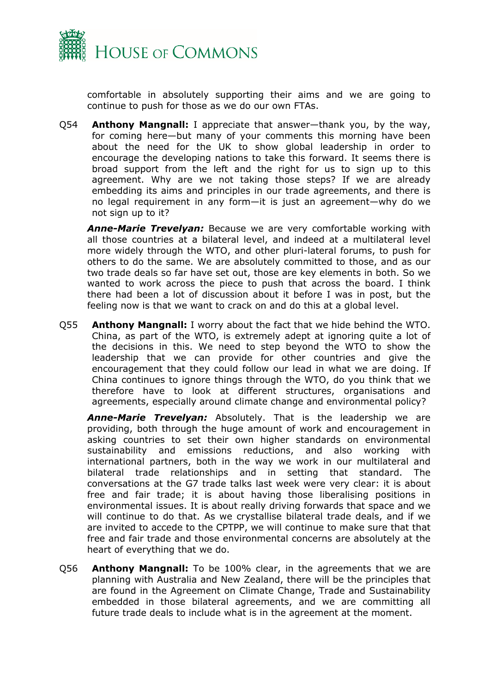

comfortable in absolutely supporting their aims and we are going to continue to push for those as we do our own FTAs.

Q54 **Anthony Mangnall:** I appreciate that answer—thank you, by the way, for coming here—but many of your comments this morning have been about the need for the UK to show global leadership in order to encourage the developing nations to take this forward. It seems there is broad support from the left and the right for us to sign up to this agreement. Why are we not taking those steps? If we are already embedding its aims and principles in our trade agreements, and there is no legal requirement in any form—it is just an agreement—why do we not sign up to it?

*Anne-Marie Trevelyan:* Because we are very comfortable working with all those countries at a bilateral level, and indeed at a multilateral level more widely through the WTO, and other pluri-lateral forums, to push for others to do the same. We are absolutely committed to those, and as our two trade deals so far have set out, those are key elements in both. So we wanted to work across the piece to push that across the board. I think there had been a lot of discussion about it before I was in post, but the feeling now is that we want to crack on and do this at a global level.

Q55 **Anthony Mangnall:** I worry about the fact that we hide behind the WTO. China, as part of the WTO, is extremely adept at ignoring quite a lot of the decisions in this. We need to step beyond the WTO to show the leadership that we can provide for other countries and give the encouragement that they could follow our lead in what we are doing. If China continues to ignore things through the WTO, do you think that we therefore have to look at different structures, organisations and agreements, especially around climate change and environmental policy?

*Anne-Marie Trevelyan:* Absolutely. That is the leadership we are providing, both through the huge amount of work and encouragement in asking countries to set their own higher standards on environmental sustainability and emissions reductions, and also working with international partners, both in the way we work in our multilateral and bilateral trade relationships and in setting that standard. The conversations at the G7 trade talks last week were very clear: it is about free and fair trade; it is about having those liberalising positions in environmental issues. It is about really driving forwards that space and we will continue to do that. As we crystallise bilateral trade deals, and if we are invited to accede to the CPTPP, we will continue to make sure that that free and fair trade and those environmental concerns are absolutely at the heart of everything that we do.

Q56 **Anthony Mangnall:** To be 100% clear, in the agreements that we are planning with Australia and New Zealand, there will be the principles that are found in the Agreement on Climate Change, Trade and Sustainability embedded in those bilateral agreements, and we are committing all future trade deals to include what is in the agreement at the moment.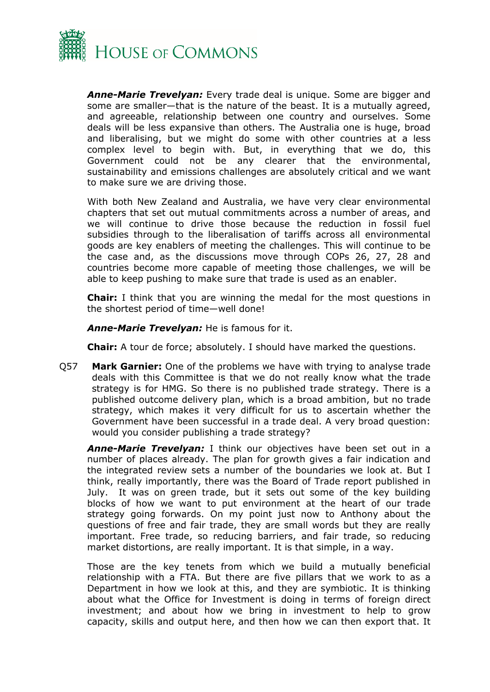

*Anne-Marie Trevelyan:* Every trade deal is unique. Some are bigger and some are smaller—that is the nature of the beast. It is a mutually agreed, and agreeable, relationship between one country and ourselves. Some deals will be less expansive than others. The Australia one is huge, broad and liberalising, but we might do some with other countries at a less complex level to begin with. But, in everything that we do, this Government could not be any clearer that the environmental, sustainability and emissions challenges are absolutely critical and we want to make sure we are driving those.

With both New Zealand and Australia, we have very clear environmental chapters that set out mutual commitments across a number of areas, and we will continue to drive those because the reduction in fossil fuel subsidies through to the liberalisation of tariffs across all environmental goods are key enablers of meeting the challenges. This will continue to be the case and, as the discussions move through COPs 26, 27, 28 and countries become more capable of meeting those challenges, we will be able to keep pushing to make sure that trade is used as an enabler.

**Chair:** I think that you are winning the medal for the most questions in the shortest period of time—well done!

*Anne-Marie Trevelyan:* He is famous for it.

**Chair:** A tour de force; absolutely. I should have marked the questions.

Q57 **Mark Garnier:** One of the problems we have with trying to analyse trade deals with this Committee is that we do not really know what the trade strategy is for HMG. So there is no published trade strategy. There is a published outcome delivery plan, which is a broad ambition, but no trade strategy, which makes it very difficult for us to ascertain whether the Government have been successful in a trade deal. A very broad question: would you consider publishing a trade strategy?

*Anne-Marie Trevelyan:* I think our objectives have been set out in a number of places already. The plan for growth gives a fair indication and the integrated review sets a number of the boundaries we look at. But I think, really importantly, there was the Board of Trade report published in July. It was on green trade, but it sets out some of the key building blocks of how we want to put environment at the heart of our trade strategy going forwards. On my point just now to Anthony about the questions of free and fair trade, they are small words but they are really important. Free trade, so reducing barriers, and fair trade, so reducing market distortions, are really important. It is that simple, in a way.

Those are the key tenets from which we build a mutually beneficial relationship with a FTA. But there are five pillars that we work to as a Department in how we look at this, and they are symbiotic. It is thinking about what the Office for Investment is doing in terms of foreign direct investment; and about how we bring in investment to help to grow capacity, skills and output here, and then how we can then export that. It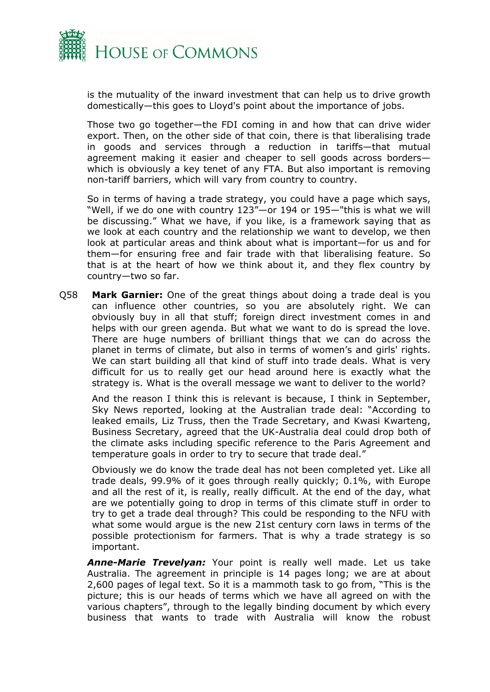

is the mutuality of the inward investment that can help us to drive growth domestically—this goes to Lloyd's point about the importance of jobs.

Those two go together—the FDI coming in and how that can drive wider export. Then, on the other side of that coin, there is that liberalising trade in goods and services through a reduction in tariffs—that mutual agreement making it easier and cheaper to sell goods across borders which is obviously a key tenet of any FTA. But also important is removing non-tariff barriers, which will vary from country to country.

So in terms of having a trade strategy, you could have a page which says, "Well, if we do one with country 123"—or 194 or 195—"this is what we will be discussing." What we have, if you like, is a framework saying that as we look at each country and the relationship we want to develop, we then look at particular areas and think about what is important—for us and for them—for ensuring free and fair trade with that liberalising feature. So that is at the heart of how we think about it, and they flex country by country—two so far.

Q58 **Mark Garnier:** One of the great things about doing a trade deal is you can influence other countries, so you are absolutely right. We can obviously buy in all that stuff; foreign direct investment comes in and helps with our green agenda. But what we want to do is spread the love. There are huge numbers of brilliant things that we can do across the planet in terms of climate, but also in terms of women's and girls' rights. We can start building all that kind of stuff into trade deals. What is very difficult for us to really get our head around here is exactly what the strategy is. What is the overall message we want to deliver to the world?

And the reason I think this is relevant is because, I think in September, Sky News reported, looking at the Australian trade deal: "According to leaked emails, Liz Truss, then the Trade Secretary, and Kwasi Kwarteng, Business Secretary, agreed that the UK-Australia deal could drop both of the climate asks including specific reference to the Paris Agreement and temperature goals in order to try to secure that trade deal."

Obviously we do know the trade deal has not been completed yet. Like all trade deals, 99.9% of it goes through really quickly; 0.1%, with Europe and all the rest of it, is really, really difficult. At the end of the day, what are we potentially going to drop in terms of this climate stuff in order to try to get a trade deal through? This could be responding to the NFU with what some would argue is the new 21st century corn laws in terms of the possible protectionism for farmers. That is why a trade strategy is so important.

*Anne-Marie Trevelyan:* Your point is really well made. Let us take Australia. The agreement in principle is 14 pages long; we are at about 2,600 pages of legal text. So it is a mammoth task to go from, "This is the picture; this is our heads of terms which we have all agreed on with the various chapters", through to the legally binding document by which every business that wants to trade with Australia will know the robust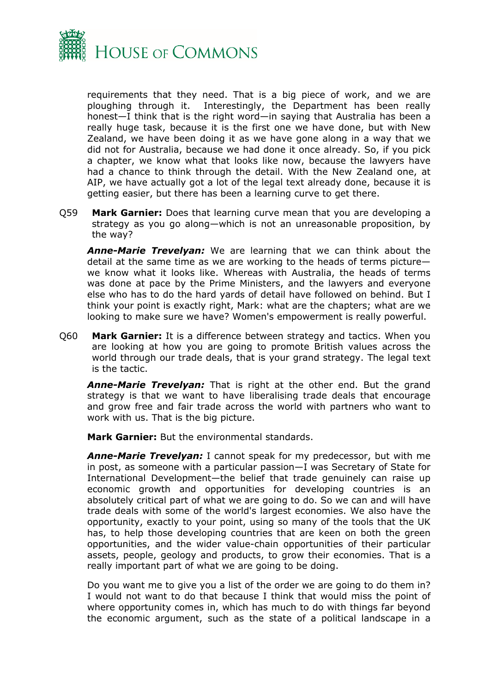

requirements that they need. That is a big piece of work, and we are ploughing through it. Interestingly, the Department has been really honest—I think that is the right word—in saying that Australia has been a really huge task, because it is the first one we have done, but with New Zealand, we have been doing it as we have gone along in a way that we did not for Australia, because we had done it once already. So, if you pick a chapter, we know what that looks like now, because the lawyers have had a chance to think through the detail. With the New Zealand one, at AIP, we have actually got a lot of the legal text already done, because it is getting easier, but there has been a learning curve to get there.

Q59 **Mark Garnier:** Does that learning curve mean that you are developing a strategy as you go along—which is not an unreasonable proposition, by the way?

*Anne-Marie Trevelyan:* We are learning that we can think about the detail at the same time as we are working to the heads of terms picture we know what it looks like. Whereas with Australia, the heads of terms was done at pace by the Prime Ministers, and the lawyers and everyone else who has to do the hard yards of detail have followed on behind. But I think your point is exactly right, Mark: what are the chapters; what are we looking to make sure we have? Women's empowerment is really powerful.

Q60 **Mark Garnier:** It is a difference between strategy and tactics. When you are looking at how you are going to promote British values across the world through our trade deals, that is your grand strategy. The legal text is the tactic.

*Anne-Marie Trevelyan:* That is right at the other end. But the grand strategy is that we want to have liberalising trade deals that encourage and grow free and fair trade across the world with partners who want to work with us. That is the big picture.

**Mark Garnier:** But the environmental standards.

*Anne-Marie Trevelyan:* I cannot speak for my predecessor, but with me in post, as someone with a particular passion—I was Secretary of State for International Development—the belief that trade genuinely can raise up economic growth and opportunities for developing countries is an absolutely critical part of what we are going to do. So we can and will have trade deals with some of the world's largest economies. We also have the opportunity, exactly to your point, using so many of the tools that the UK has, to help those developing countries that are keen on both the green opportunities, and the wider value-chain opportunities of their particular assets, people, geology and products, to grow their economies. That is a really important part of what we are going to be doing.

Do you want me to give you a list of the order we are going to do them in? I would not want to do that because I think that would miss the point of where opportunity comes in, which has much to do with things far beyond the economic argument, such as the state of a political landscape in a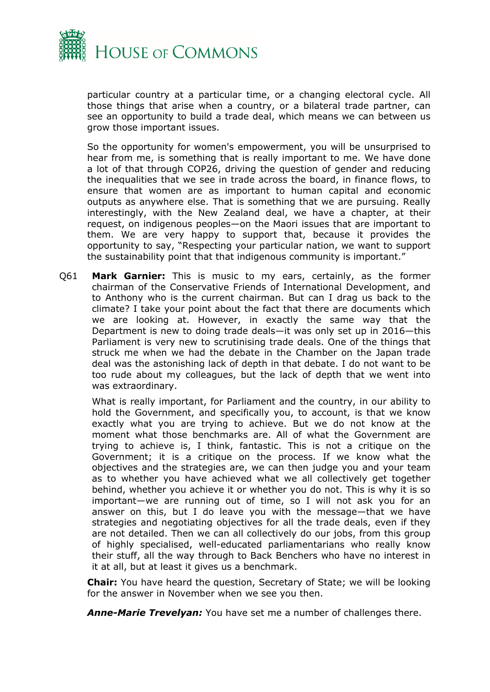

particular country at a particular time, or a changing electoral cycle. All those things that arise when a country, or a bilateral trade partner, can see an opportunity to build a trade deal, which means we can between us grow those important issues.

So the opportunity for women's empowerment, you will be unsurprised to hear from me, is something that is really important to me. We have done a lot of that through COP26, driving the question of gender and reducing the inequalities that we see in trade across the board, in finance flows, to ensure that women are as important to human capital and economic outputs as anywhere else. That is something that we are pursuing. Really interestingly, with the New Zealand deal, we have a chapter, at their request, on indigenous peoples—on the Maori issues that are important to them. We are very happy to support that, because it provides the opportunity to say, "Respecting your particular nation, we want to support the sustainability point that that indigenous community is important."

Q61 **Mark Garnier:** This is music to my ears, certainly, as the former chairman of the Conservative Friends of International Development, and to Anthony who is the current chairman. But can I drag us back to the climate? I take your point about the fact that there are documents which we are looking at. However, in exactly the same way that the Department is new to doing trade deals—it was only set up in 2016—this Parliament is very new to scrutinising trade deals. One of the things that struck me when we had the debate in the Chamber on the Japan trade deal was the astonishing lack of depth in that debate. I do not want to be too rude about my colleagues, but the lack of depth that we went into was extraordinary.

What is really important, for Parliament and the country, in our ability to hold the Government, and specifically you, to account, is that we know exactly what you are trying to achieve. But we do not know at the moment what those benchmarks are. All of what the Government are trying to achieve is, I think, fantastic. This is not a critique on the Government; it is a critique on the process. If we know what the objectives and the strategies are, we can then judge you and your team as to whether you have achieved what we all collectively get together behind, whether you achieve it or whether you do not. This is why it is so important—we are running out of time, so I will not ask you for an answer on this, but I do leave you with the message—that we have strategies and negotiating objectives for all the trade deals, even if they are not detailed. Then we can all collectively do our jobs, from this group of highly specialised, well-educated parliamentarians who really know their stuff, all the way through to Back Benchers who have no interest in it at all, but at least it gives us a benchmark.

**Chair:** You have heard the question, Secretary of State; we will be looking for the answer in November when we see you then.

*Anne-Marie Trevelyan:* You have set me a number of challenges there.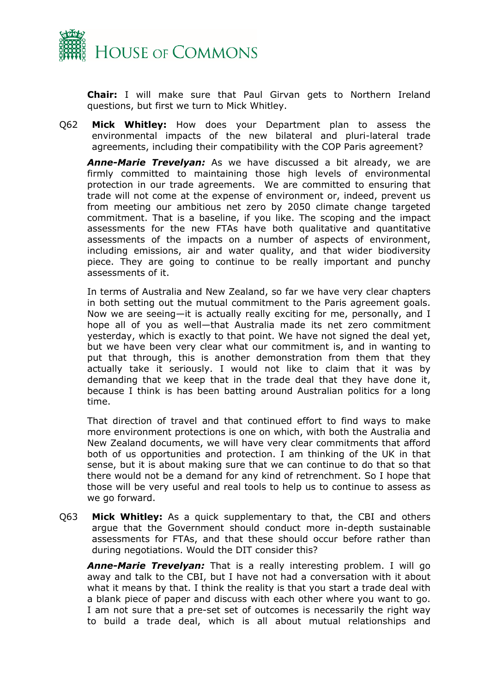

**Chair:** I will make sure that Paul Girvan gets to Northern Ireland questions, but first we turn to Mick Whitley.

Q62 **Mick Whitley:** How does your Department plan to assess the environmental impacts of the new bilateral and pluri-lateral trade agreements, including their compatibility with the COP Paris agreement?

*Anne-Marie Trevelyan:* As we have discussed a bit already, we are firmly committed to maintaining those high levels of environmental protection in our trade agreements. We are committed to ensuring that trade will not come at the expense of environment or, indeed, prevent us from meeting our ambitious net zero by 2050 climate change targeted commitment. That is a baseline, if you like. The scoping and the impact assessments for the new FTAs have both qualitative and quantitative assessments of the impacts on a number of aspects of environment, including emissions, air and water quality, and that wider biodiversity piece. They are going to continue to be really important and punchy assessments of it.

In terms of Australia and New Zealand, so far we have very clear chapters in both setting out the mutual commitment to the Paris agreement goals. Now we are seeing—it is actually really exciting for me, personally, and I hope all of you as well—that Australia made its net zero commitment yesterday, which is exactly to that point. We have not signed the deal yet, but we have been very clear what our commitment is, and in wanting to put that through, this is another demonstration from them that they actually take it seriously. I would not like to claim that it was by demanding that we keep that in the trade deal that they have done it, because I think is has been batting around Australian politics for a long time.

That direction of travel and that continued effort to find ways to make more environment protections is one on which, with both the Australia and New Zealand documents, we will have very clear commitments that afford both of us opportunities and protection. I am thinking of the UK in that sense, but it is about making sure that we can continue to do that so that there would not be a demand for any kind of retrenchment. So I hope that those will be very useful and real tools to help us to continue to assess as we go forward.

Q63 **Mick Whitley:** As a quick supplementary to that, the CBI and others argue that the Government should conduct more in-depth sustainable assessments for FTAs, and that these should occur before rather than during negotiations. Would the DIT consider this?

*Anne-Marie Trevelyan:* That is a really interesting problem. I will go away and talk to the CBI, but I have not had a conversation with it about what it means by that. I think the reality is that you start a trade deal with a blank piece of paper and discuss with each other where you want to go. I am not sure that a pre-set set of outcomes is necessarily the right way to build a trade deal, which is all about mutual relationships and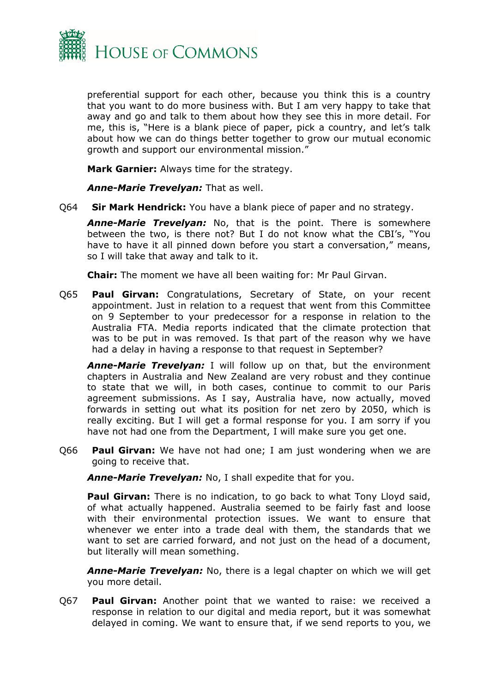

preferential support for each other, because you think this is a country that you want to do more business with. But I am very happy to take that away and go and talk to them about how they see this in more detail. For me, this is, "Here is a blank piece of paper, pick a country, and let's talk about how we can do things better together to grow our mutual economic growth and support our environmental mission."

**Mark Garnier:** Always time for the strategy.

*Anne-Marie Trevelyan:* That as well.

Q64 **Sir Mark Hendrick:** You have a blank piece of paper and no strategy.

*Anne-Marie Trevelyan:* No, that is the point. There is somewhere between the two, is there not? But I do not know what the CBI's, "You have to have it all pinned down before you start a conversation," means, so I will take that away and talk to it.

**Chair:** The moment we have all been waiting for: Mr Paul Girvan.

Q65 **Paul Girvan:** Congratulations, Secretary of State, on your recent appointment. Just in relation to a request that went from this Committee on 9 September to your predecessor for a response in relation to the Australia FTA. Media reports indicated that the climate protection that was to be put in was removed. Is that part of the reason why we have had a delay in having a response to that request in September?

*Anne-Marie Trevelyan:* I will follow up on that, but the environment chapters in Australia and New Zealand are very robust and they continue to state that we will, in both cases, continue to commit to our Paris agreement submissions. As I say, Australia have, now actually, moved forwards in setting out what its position for net zero by 2050, which is really exciting. But I will get a formal response for you. I am sorry if you have not had one from the Department, I will make sure you get one.

Q66 **Paul Girvan:** We have not had one; I am just wondering when we are going to receive that.

*Anne-Marie Trevelyan:* No, I shall expedite that for you.

**Paul Girvan:** There is no indication, to go back to what Tony Lloyd said, of what actually happened. Australia seemed to be fairly fast and loose with their environmental protection issues. We want to ensure that whenever we enter into a trade deal with them, the standards that we want to set are carried forward, and not just on the head of a document, but literally will mean something.

*Anne-Marie Trevelyan:* No, there is a legal chapter on which we will get you more detail.

Q67 **Paul Girvan:** Another point that we wanted to raise: we received a response in relation to our digital and media report, but it was somewhat delayed in coming. We want to ensure that, if we send reports to you, we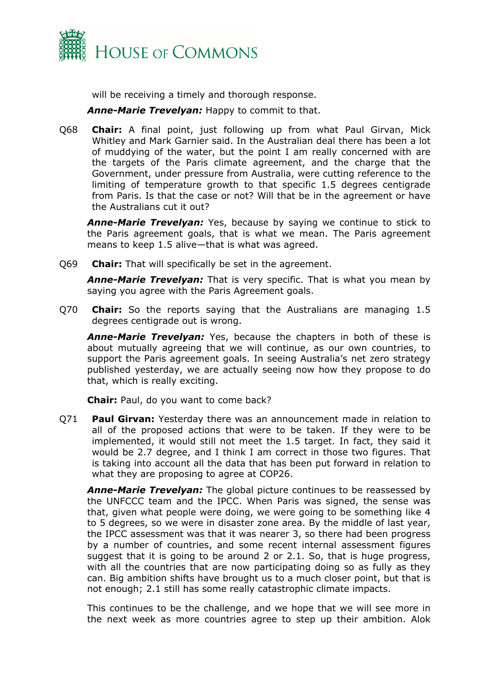

will be receiving a timely and thorough response.

*Anne-Marie Trevelyan:* Happy to commit to that.

Q68 **Chair:** A final point, just following up from what Paul Girvan, Mick Whitley and Mark Garnier said. In the Australian deal there has been a lot of muddying of the water, but the point I am really concerned with are the targets of the Paris climate agreement, and the charge that the Government, under pressure from Australia, were cutting reference to the limiting of temperature growth to that specific 1.5 degrees centigrade from Paris. Is that the case or not? Will that be in the agreement or have the Australians cut it out?

*Anne-Marie Trevelyan:* Yes, because by saying we continue to stick to the Paris agreement goals, that is what we mean. The Paris agreement means to keep 1.5 alive—that is what was agreed.

Q69 **Chair:** That will specifically be set in the agreement.

*Anne-Marie Trevelyan:* That is very specific. That is what you mean by saying you agree with the Paris Agreement goals.

Q70 **Chair:** So the reports saying that the Australians are managing 1.5 degrees centigrade out is wrong.

*Anne-Marie Trevelyan:* Yes, because the chapters in both of these is about mutually agreeing that we will continue, as our own countries, to support the Paris agreement goals. In seeing Australia's net zero strategy published yesterday, we are actually seeing now how they propose to do that, which is really exciting.

**Chair:** Paul, do you want to come back?

Q71 **Paul Girvan:** Yesterday there was an announcement made in relation to all of the proposed actions that were to be taken. If they were to be implemented, it would still not meet the 1.5 target. In fact, they said it would be 2.7 degree, and I think I am correct in those two figures. That is taking into account all the data that has been put forward in relation to what they are proposing to agree at COP26.

*Anne-Marie Trevelyan:* The global picture continues to be reassessed by the UNFCCC team and the IPCC. When Paris was signed, the sense was that, given what people were doing, we were going to be something like 4 to 5 degrees, so we were in disaster zone area. By the middle of last year, the IPCC assessment was that it was nearer 3, so there had been progress by a number of countries, and some recent internal assessment figures suggest that it is going to be around 2 or 2.1. So, that is huge progress, with all the countries that are now participating doing so as fully as they can. Big ambition shifts have brought us to a much closer point, but that is not enough; 2.1 still has some really catastrophic climate impacts.

This continues to be the challenge, and we hope that we will see more in the next week as more countries agree to step up their ambition. Alok